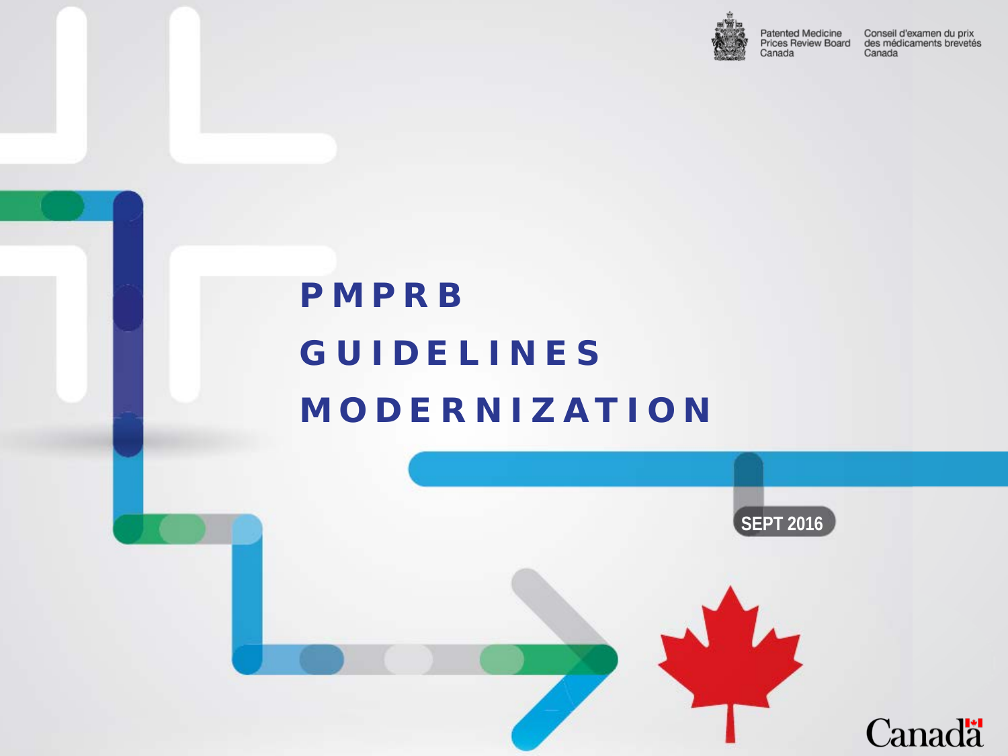

**Patented Medicine** Prices Review Board Canada

Conseil d'examen du prix des médicaments brevetés Canada

### PMPRB GUIDELINES MODERNIZATION

**Douglas Clark**

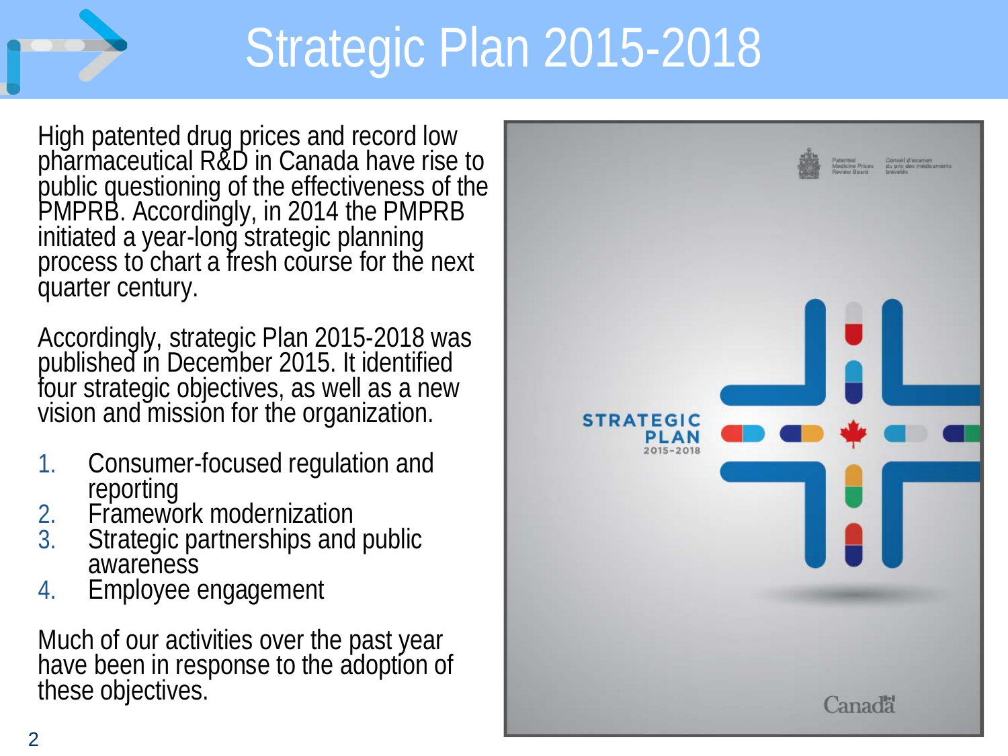

### Strategic Plan 2015-2018

High patented drug prices and record low pharmaceutical R&D in Canada have rise to public questioning of the effectiveness of the PMPRB. Accordingly, in 2014 the PMPRB initiated a year-long strategic planning<br>process to chart a fresh course for the next quarter century.

Accordingly, strategic Plan 2015-2018 was published in December 2015. It identified four strategic objectives, as well as a new vision and mission for the organization.

- 1. Consumer-focused regulation and<br>
reporting<br>
2. Framework modernization<br>
3. Strategic partnerships and public
- 
- Strategic partnerships and public awareness
- 4. Employee engagement

Much of our activities over the past year have been in response to the adoption of these objectives.

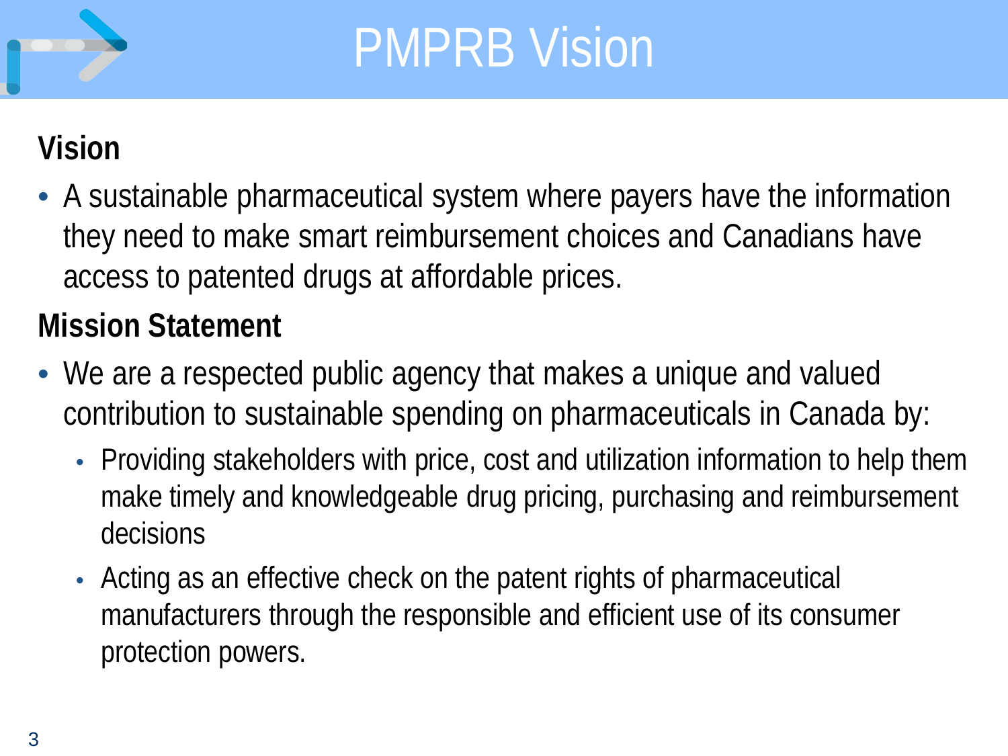

### PMPRB Vision

### **Vision**

• A sustainable pharmaceutical system where payers have the information they need to make smart reimbursement choices and Canadians have access to patented drugs at affordable prices.

### **Mission Statement**

- We are a respected public agency that makes a unique and valued contribution to sustainable spending on pharmaceuticals in Canada by:
	- Providing stakeholders with price, cost and utilization information to help them make timely and knowledgeable drug pricing, purchasing and reimbursement decisions
	- Acting as an effective check on the patent rights of pharmaceutical manufacturers through the responsible and efficient use of its consumer protection powers.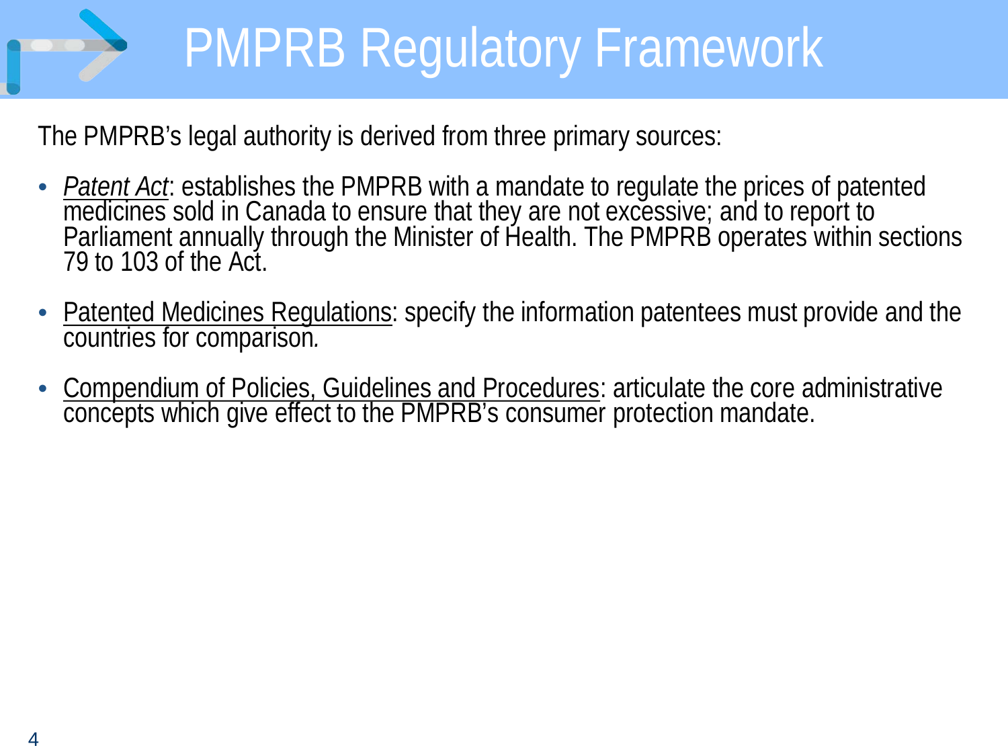# PMPRB Regulatory Framework

The PMPRB's legal authority is derived from three primary sources:

- *Patent Act*: establishes the PMPRB with a mandate to regulate the prices of patented medicines sold in Canada to ensure that they are not excessive; and to report to Parliament annually through the Minister of Health. The PMPRB operates within sections 79 to 103 of the Act.
- Patented Medicines Regulations: specify the information patentees must provide and the countries for comparison*.*
- Compendium of Policies, Guidelines and Procedures: articulate the core administrative concepts which give effect to the PMPRB's consumer protection mandate.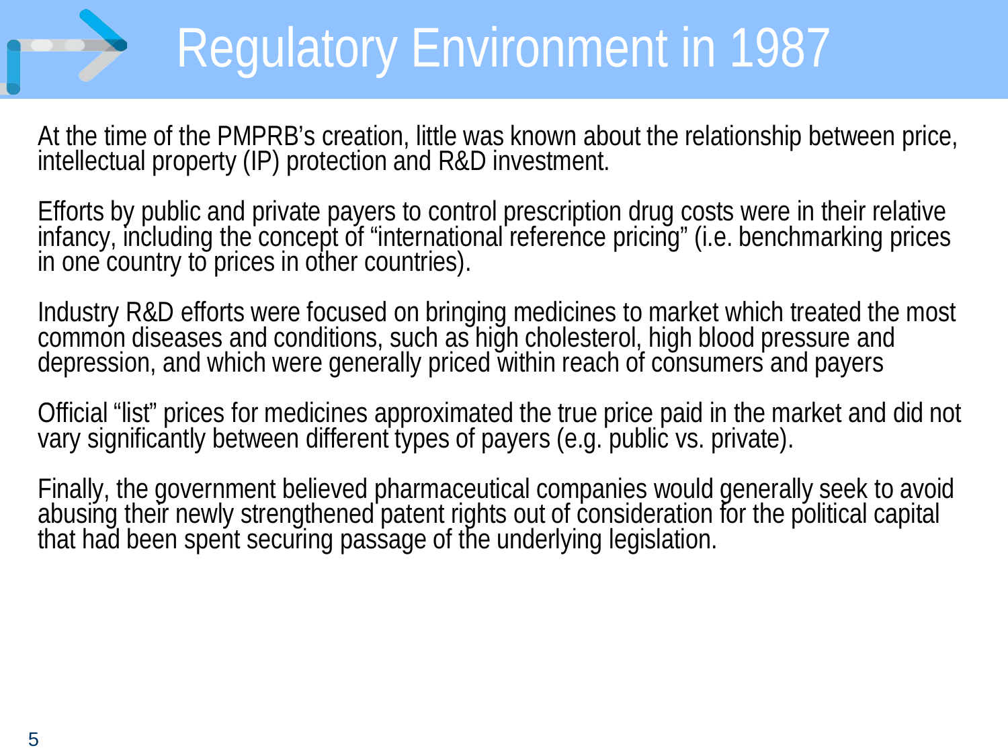## Regulatory Environment in 1987

At the time of the PMPRB's creation, little was known about the relationship between price, intellectual property (IP) protection and R&D investment.

Efforts by public and private payers to control prescription drug costs were in their relative infancy, including the concept of "international reference pricing" (i.e. benchmarking prices<br>in one country to prices in other countries).

Industry R&D efforts were focused on bringing medicines to market which treated the most common diseases and conditions, such as high cholesterol, high blood pressure and<br>depression, and which were generally priced within reach of consumers and payers

Official "list" prices for medicines approximated the true price paid in the market and did not vary significantly between different types of payers (e.g. public vs. private).

Finally, the government believed pharmaceutical companies would generally seek to avoid abusing their newly strengthened patent rights out of consideration for the political capital<br>that had been spent securing passage of the underlying legislation.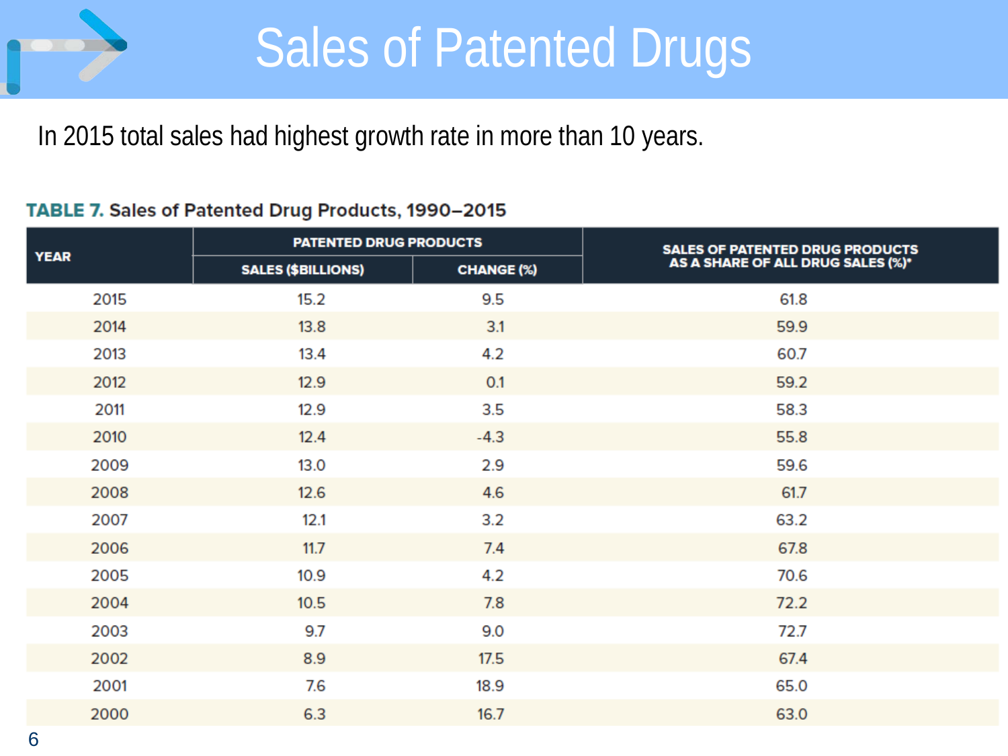

In 2015 total sales had highest growth rate in more than 10 years.

#### TABLE 7. Sales of Patented Drug Products, 1990-2015

|             | <b>PATENTED DRUG PRODUCTS</b> |                   | <b>SALES OF PATENTED DRUG PRODUCTS</b> |  |
|-------------|-------------------------------|-------------------|----------------------------------------|--|
| <b>YEAR</b> | <b>SALES (\$BILLIONS)</b>     | <b>CHANGE (%)</b> | AS A SHARE OF ALL DRUG SALES (%)*      |  |
| 2015        | 15.2                          | 9.5               | 61.8                                   |  |
| 2014        | 13.8                          | 3.1               | 59.9                                   |  |
| 2013        | 13.4                          | 4.2               | 60.7                                   |  |
| 2012        | 12.9                          | 0.1               | 59.2                                   |  |
| 2011        | 12.9                          | 3.5               | 58.3                                   |  |
| 2010        | 12.4                          | $-4.3$            | 55.8                                   |  |
| 2009        | 13.0                          | 2.9               | 59.6                                   |  |
| 2008        | 12.6                          | 4.6               | 61.7                                   |  |
| 2007        | 12.1                          | 3.2               | 63.2                                   |  |
| 2006        | 11.7                          | 7.4               | 67.8                                   |  |
| 2005        | 10.9                          | 4.2               | 70.6                                   |  |
| 2004        | 10.5                          | 7.8               | 72.2                                   |  |
| 2003        | 9.7                           | 9.0               | 72.7                                   |  |
| 2002        | 8.9                           | 17.5              | 67.4                                   |  |
| 2001        | 7.6                           | 18.9              | 65.0                                   |  |
| 2000        | 6.3                           | 16.7              | 63.0                                   |  |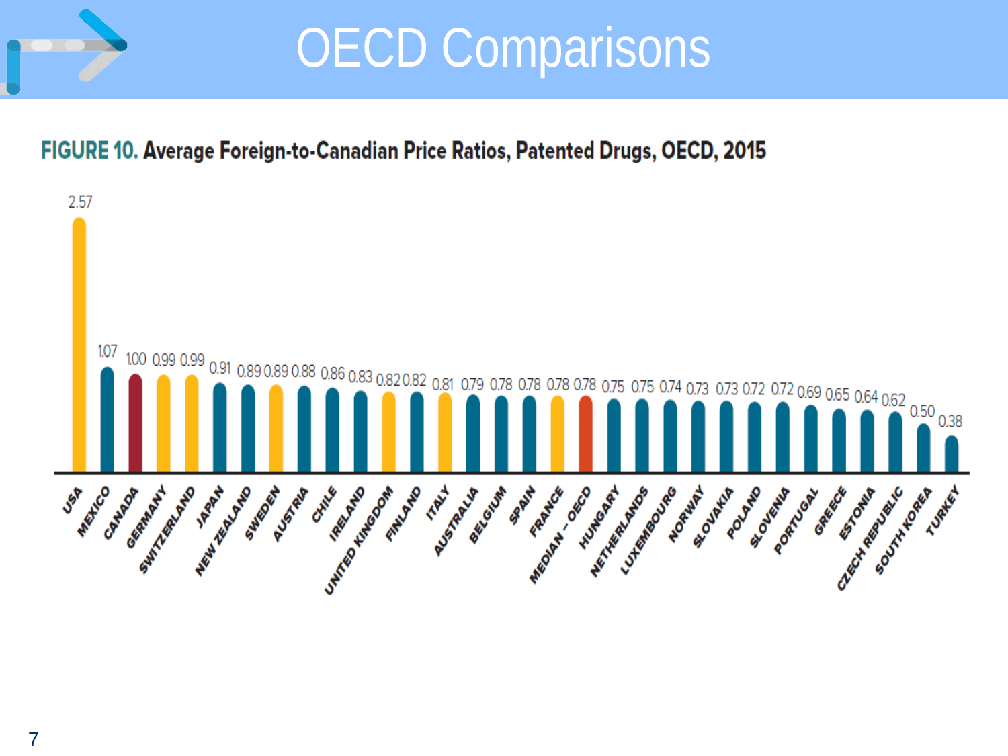

### OECD Comparisons

#### FIGURE 10. Average Foreign-to-Canadian Price Ratios, Patented Drugs, OECD, 2015

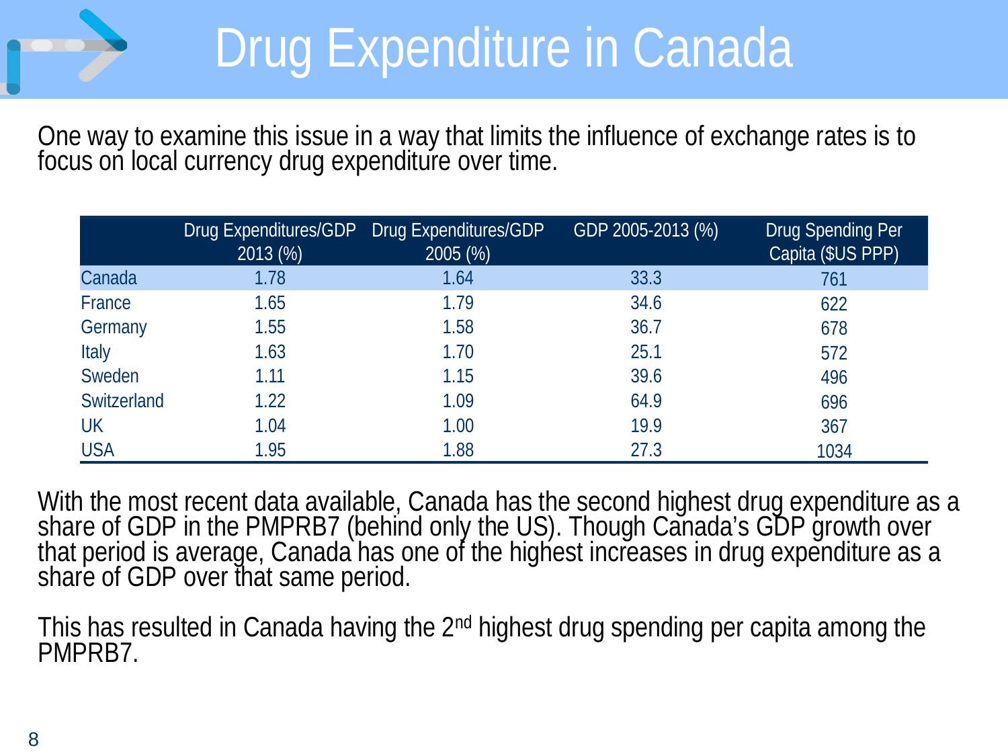### Drug Expenditure in Canada

One way to examine this issue in a way that limits the influence of exchange rates is to focus on local currency drug expenditure over time.

|             | 2013 (%) | Drug Expenditures/GDP Drug Expenditures/GDP<br>2005(%) | GDP 2005-2013 (%) | <b>Drug Spending Per</b><br>Capita (\$US PPP) |
|-------------|----------|--------------------------------------------------------|-------------------|-----------------------------------------------|
| Canada      | 1.78     | 1.64                                                   | 33.3              | 761                                           |
| France      | 1.65     | 1.79                                                   | 34.6              | 622                                           |
| Germany     | 1.55     | 1.58                                                   | 36.7              | 678                                           |
| Italy       | 1.63     | 1.70                                                   | 25.1              | 572                                           |
| Sweden      | 1.11     | 1.15                                                   | 39.6              | 496                                           |
| Switzerland | 1.22     | 1.09                                                   | 64.9              | 696                                           |
| <b>UK</b>   | 1.04     | 1.00                                                   | 19.9              | 367                                           |
| <b>USA</b>  | 1.95     | 1.88                                                   | 27.3              | 1034                                          |

With the most recent data available, Canada has the second highest drug expenditure as a share of GDP in the PMPRB7 (behind only the US). Though Canada's GDP growth over that period is average, Canada has one of the highest increases in drug expenditure as a share of GDP over that same period.

This has resulted in Canada having the 2<sup>nd</sup> highest drug spending per capita among the PMPRB7.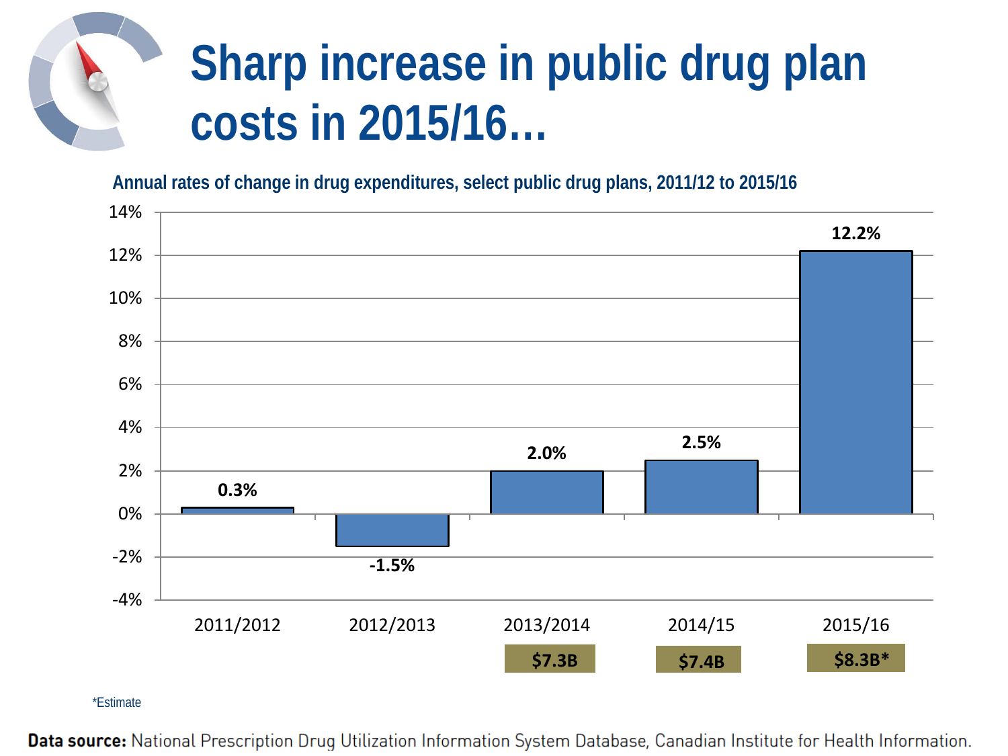# **Sharp increase in public drug plan costs in 2015/16…**

**Annual rates of change in drug expenditures, select public drug plans, 2011/12 to 2015/16** 



\*Estimate

Data source: National Prescription Drug Utilization Information System Database, Canadian Institute for Health Information.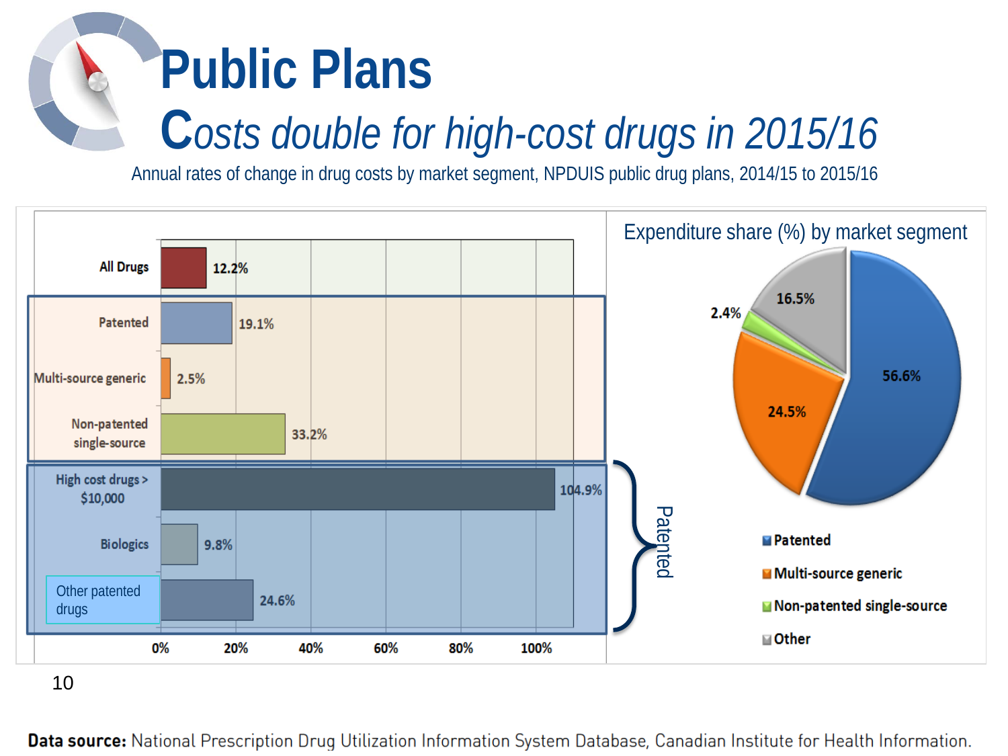# **Public Plans**

### **C***osts double for high-cost drugs in 2015/16*

Annual rates of change in drug costs by market segment, NPDUIS public drug plans, 2014/15 to 2015/16



10

Data source: National Prescription Drug Utilization Information System Database, Canadian Institute for Health Information.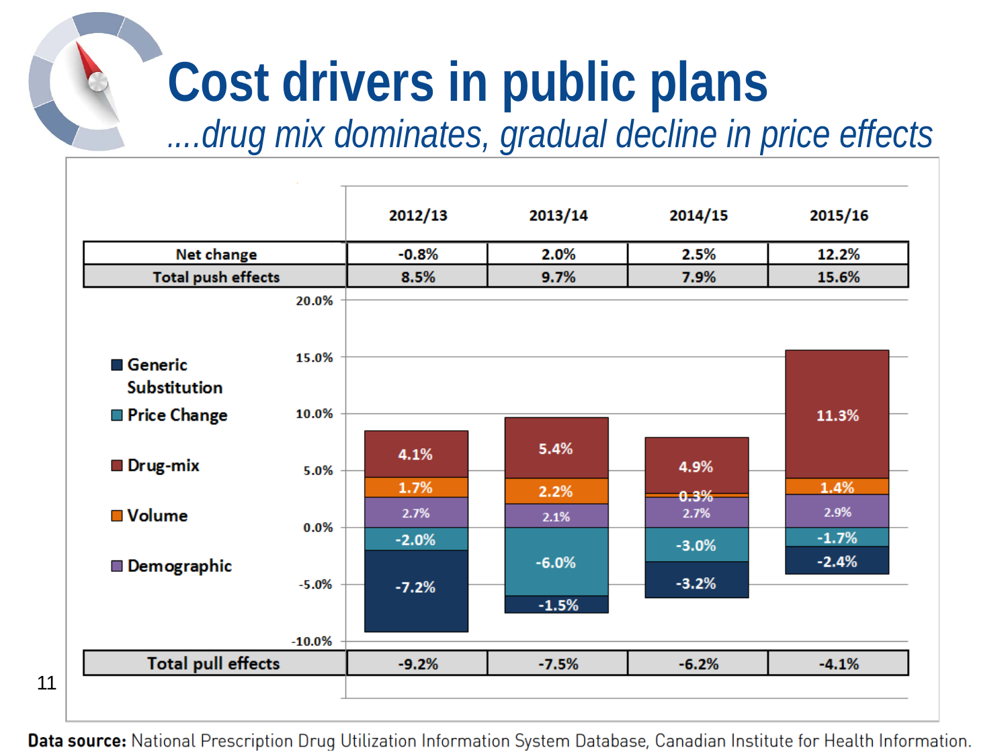# **Cost drivers in public plans**

*....drug mix dominates, gradual decline in price effects*



11

#### Data source: National Prescription Drug Utilization Information System Database, Canadian Institute for Health Information.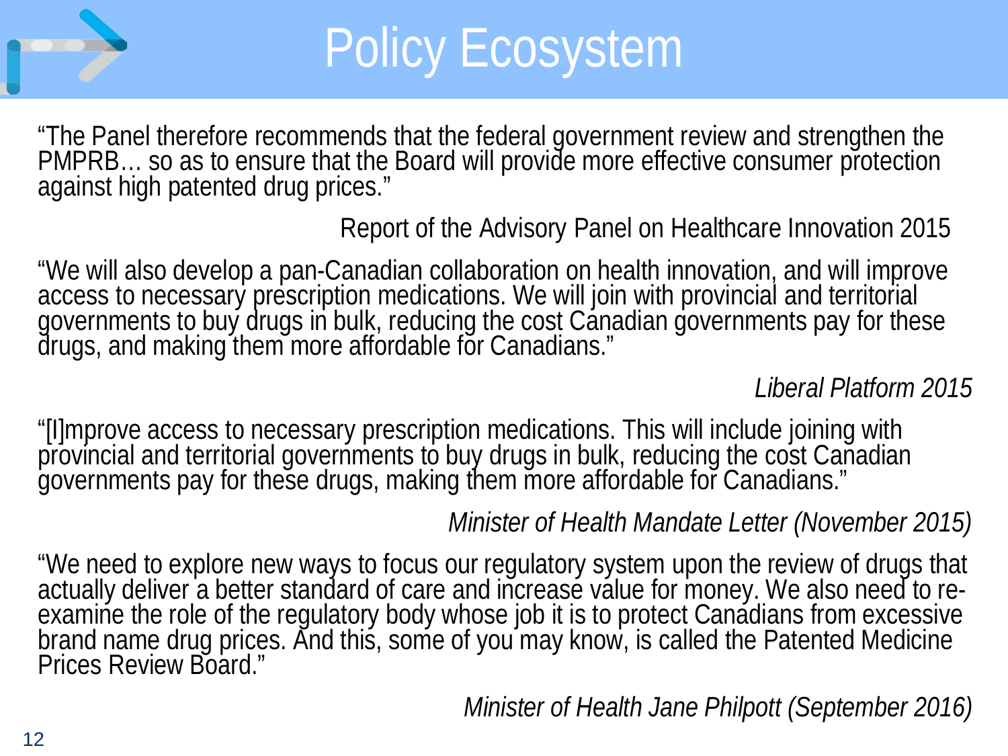

### Policy Ecosystem

"The Panel therefore recommends that the federal government review and strengthen the PMPRB... so as to ensure that the Board will provide more effective consumer protection against high patented drug prices."

Report of the Advisory Panel on Healthcare Innovation 2015

"We will also develop a pan-Canadian collaboration on health innovation, and will improve<br>access to necessary prescription medications. We will join with provincial and territorial governments to buy drugs in bulk, reducing the cost Canadian governments pay for these drugs, and making them more affordable for Canadians.″

#### *Liberal Platform 2015*

"[I]mprove access to necessary prescription medications. This will include joining with<br>provincial and territorial governments to buy drugs in bulk, reducing the cost Canadian governments pay for these drugs, making them more affordable for Canadians."

*Minister of Health Mandate Letter (November 2015)*

"We need to explore new ways to focus our regulatory system upon the review of drugs that<br>actually deliver a better standard of care and increase value for money. We also need to reactually deliver a better standard of care and increase value for money. We also need to re-<br>examine the role of the regulatory body whose job it is to protect Canadians from excessive brand name drug prices. And this, some of you may know, is called the Patented Medicine Prices Review Board."

*Minister of Health Jane Philpott (September 2016)*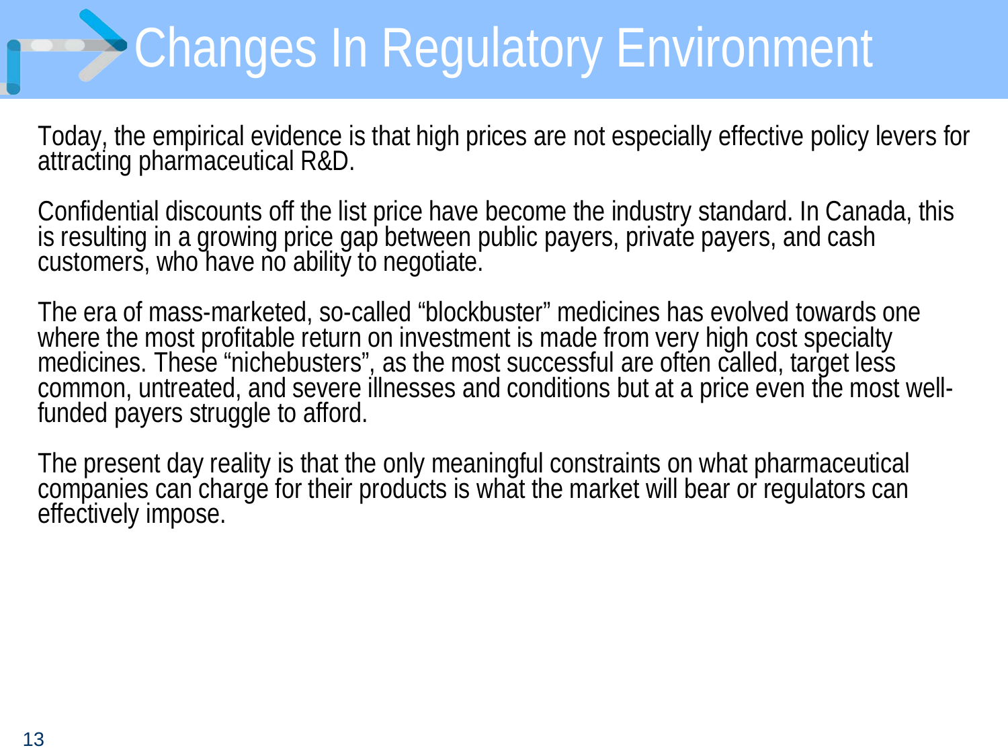### **Changes In Regulatory Environment**

Today, the empirical evidence is that high prices are not especially effective policy levers for attracting pharmaceutical R&D.

Confidential discounts off the list price have become the industry standard. In Canada, this is resulting in a growing price gap between public payers, private payers, and cash customers, who have no ability to negotiate.

The era of mass-marketed, so-called "blockbuster" medicines has evolved towards one where the most profitable return on investment is made from very high cost specialty medicines. These "nichebusters", as the most successful are often called, target less<br>common, untreated, and severe illnesses and conditions but at a price even the most well-<br>funded payers struggle to afford.

The present day reality is that the only meaningful constraints on what pharmaceutical companies can charge for their products is what the market will bear or regulators can effectively impose.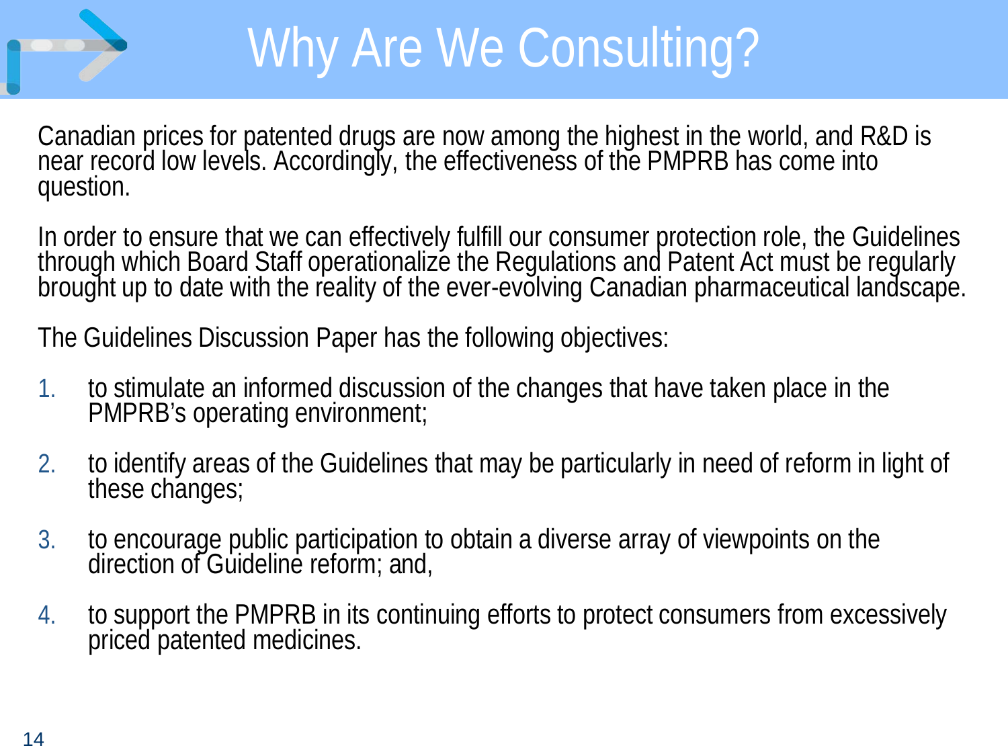

### Why Are We Consulting?

Canadian prices for patented drugs are now among the highest in the world, and R&D is near record low levels. Accordingly, the effectiveness of the PMPRB has come into question.

In order to ensure that we can effectively fulfill our consumer protection role, the Guidelines through which Board Staff operationalize the Regulations and Patent Act must be regularly brought up to date with the reality of the ever-evolving Canadian pharmaceutical landscape.

The Guidelines Discussion Paper has the following objectives:

- 1. to stimulate an informed discussion of the changes that have taken place in the PMPRB's operating environment;
- 2. to identify areas of the Guidelines that may be particularly in need of reform in light of these changes;
- 3. to encourage public participation to obtain a diverse array of viewpoints on the direction of Guideline reform; and,
- 4. to support the PMPRB in its continuing efforts to protect consumers from excessively priced patented medicines.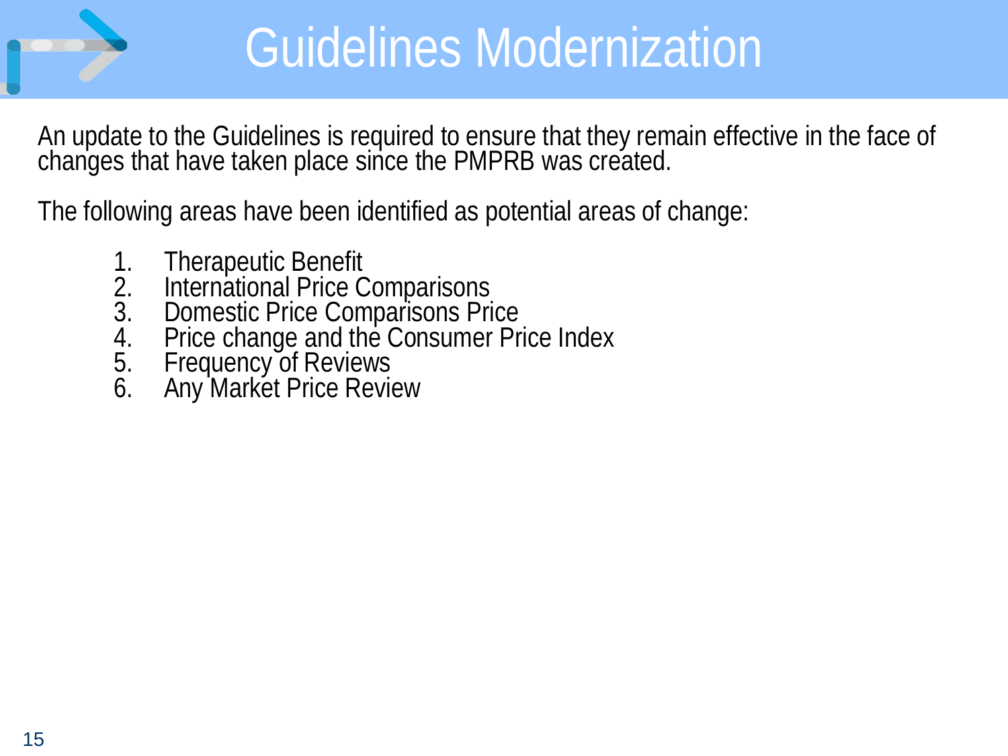

### Guidelines Modernization

An update to the Guidelines is required to ensure that they remain effective in the face of changes that have taken place since the PMPRB was created.

The following areas have been identified as potential areas of change:

- 
- 1. Therapeutic Benefit<br>2. International Price C<br>3. Domestic Price Com
- 
- 2. International Price Comparisons<br>
3. Domestic Price Comparisons Price<br>
4. Price change and the Consumer Price Index<br>
5. Frequency of Reviews<br>
6. Any Market Price Review
- 
-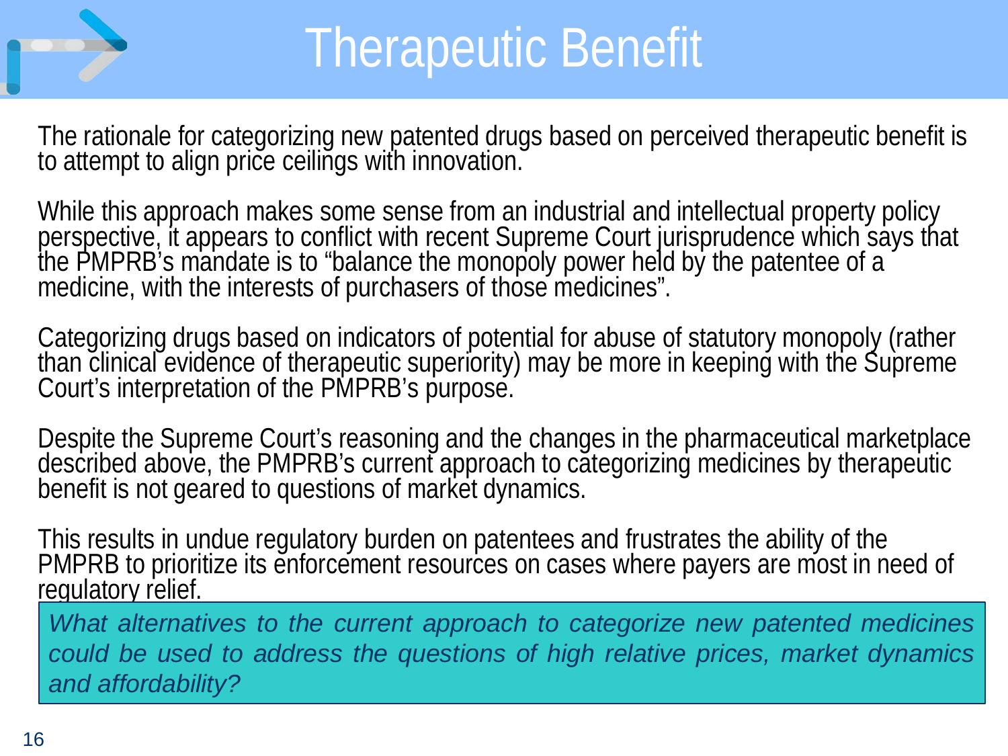

### Therapeutic Benefit

The rationale for categorizing new patented drugs based on perceived therapeutic benefit is to attempt to align price ceilings with innovation.

While this approach makes some sense from an industrial and intellectual property policy<br>perspective, it appears to conflict with recent Supreme Court jurisprudence which says that<br>the PMPRB's mandate is to "balance the mo

Categorizing drugs based on indicators of potential for abuse of statutory monopoly (rather than clinical evidence of therapeutic superiority) may be more in keeping with the Supreme<br>Court′s interpretation of the PMPRB′s purpose.

Despite the Supreme Court's reasoning and the changes in the pharmaceutical marketplace<br>described above, the PMPRB's current approach to categorizing medicines by therapeutic benefit is not geared to questions of market dynamics.

This results in undue regulatory burden on patentees and frustrates the ability of the PMPRB to prioritize its enforcement resources on cases where payers are most in need of regulatory relief.

*What alternatives to the current approach to categorize new patented medicines could be used to address the questions of high relative prices, market dynamics and affordability?*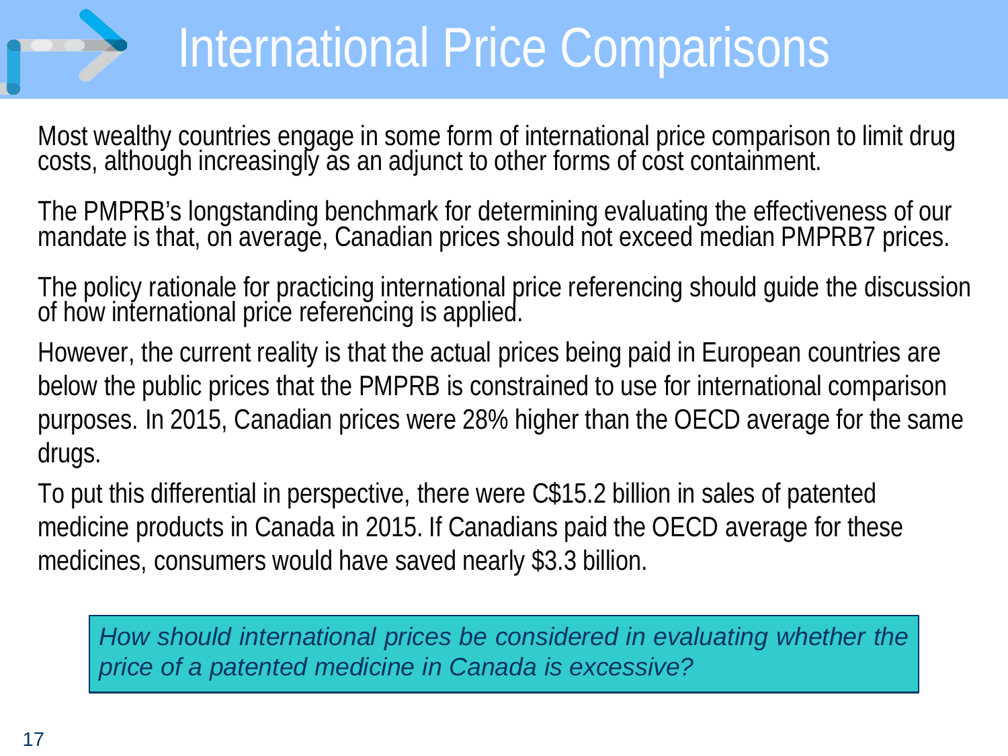## International Price Comparisons

Most wealthy countries engage in some form of international price comparison to limit drug costs, although increasingly as an adjunct to other forms of cost containment.

The PMPRB's longstanding benchmark for determining evaluating the effectiveness of our mandate is that, on average, Canadian prices should not exceed median PMPRB7 prices.

The policy rationale for practicing international price referencing should guide the discussion of how international price referencing is applied.

However, the current reality is that the actual prices being paid in European countries are below the public prices that the PMPRB is constrained to use for international comparison purposes. In 2015, Canadian prices were 28% higher than the OECD average for the same drugs.

To put this differential in perspective, there were C\$15.2 billion in sales of patented medicine products in Canada in 2015. If Canadians paid the OECD average for these medicines, consumers would have saved nearly \$3.3 billion.

*How should international prices be considered in evaluating whether the price of a patented medicine in Canada is excessive?*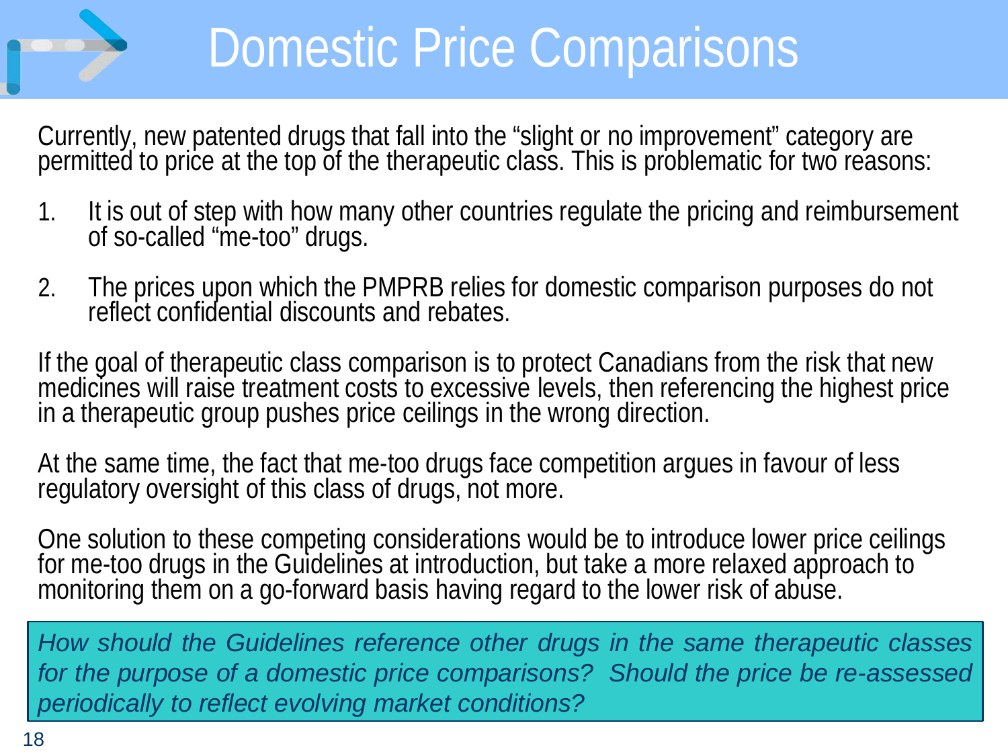

### Domestic Price Comparisons

Currently, new patented drugs that fall into the "slight or no improvement" category are permitted to price at the top of the therapeutic class. This is problematic for two reasons:

- 1. It is out of step with how many other countries regulate the pricing and reimbursement of so-called "me-too" drugs.
- 2. The prices upon which the PMPRB relies for domestic comparison purposes do not reflect confidential discounts and rebates.

If the goal of therapeutic class comparison is to protect Canadians from the risk that new medicines will raise treatment costs to excessive levels, then referencing the highest price in a therapeutic group pushes price ceilings in the wrong direction.

At the same time, the fact that me-too drugs face competition argues in favour of less regulatory oversight of this class of drugs, not more.

One solution to these competing considerations would be to introduce lower price ceilings for me-too drugs in the Guidelines at introduction, but take a more relaxed approach to<br>monitoring them on a go-forward basis having regard to the lower risk of abuse.

*How should the Guidelines reference other drugs in the same therapeutic classes for the purpose of a domestic price comparisons? Should the price be re-assessed periodically to reflect evolving market conditions?*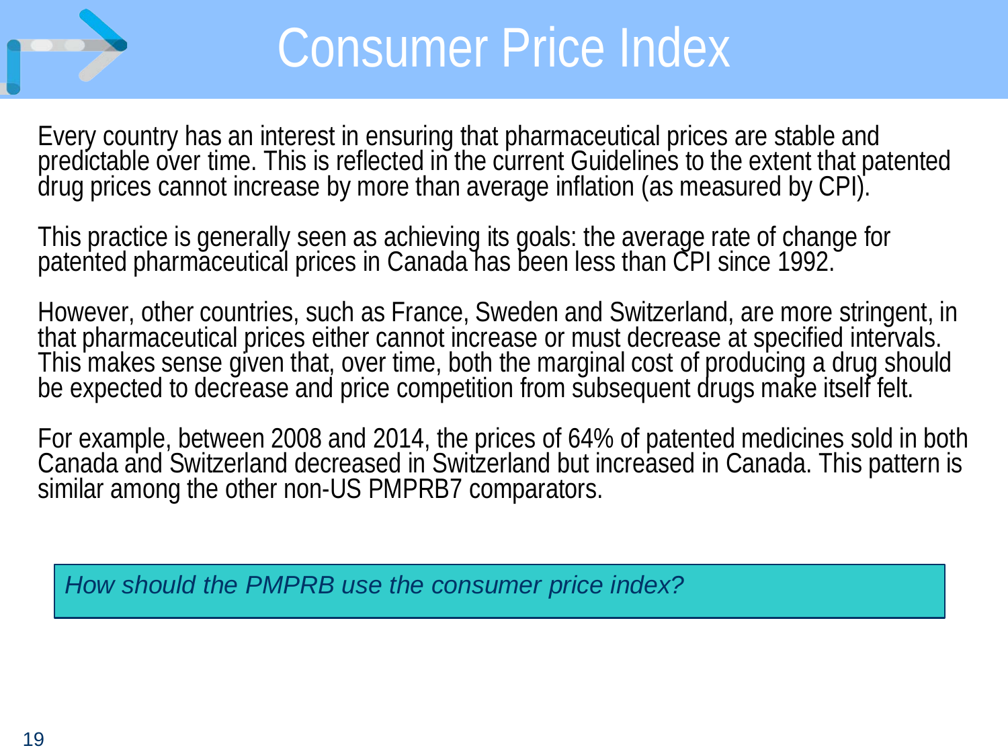

### Consumer Price Index

Every country has an interest in ensuring that pharmaceutical prices are stable and<br>predictable over time. This is reflected in the current Guidelines to the extent that patented<br>drug prices cannot increase by more than av

This practice is generally seen as achieving its goals: the average rate of change for patented pharmaceutical prices in Canada has been less than CPI since 1992.

However, other countries, such as France, Sweden and Switzerland, are more stringent, in that pharmaceutical prices either cannot increase or must decrease at specified intervals.<br>This makes sense given that, over time, both the marginal cost of producing a drug should<br>be expected to decrease and price competi

For example, between 2008 and 2014, the prices of 64% of patented medicines sold in both<br>Canada and Switzerland decreased in Switzerland but increased in Canada. This pattern is similar among the other non-US PMPRB7 comparators.

*How should the PMPRB use the consumer price index?*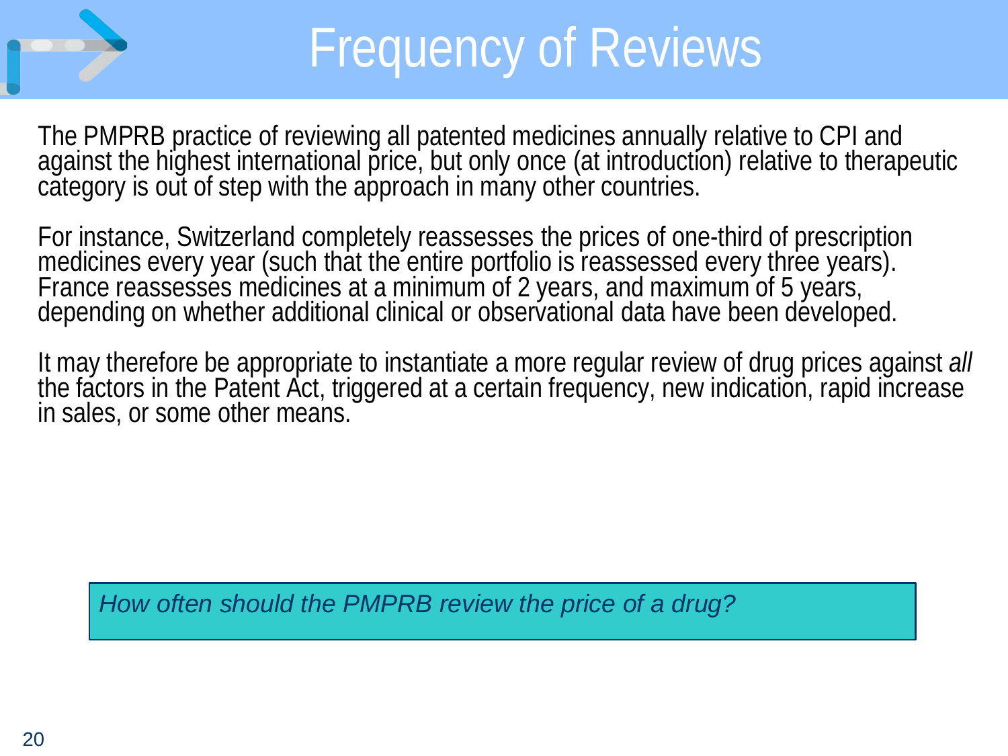

### Frequency of Reviews

The PMPRB practice of reviewing all patented medicines annually relative to CPI and against the highest international price, but only once (at introduction) relative to therapeutic<br>category is out of step with the approach in many other countries.

For instance, Switzerland completely reassesses the prices of one-third of prescription medicines every year (such that the entire portfolio is reassessed every three years). France reassesses medicines at a minimum of 2 y

It may therefore be appropriate to instantiate a more regular review of drug prices against *all* the factors in the Patent Act, triggered at a certain frequency, new indication, rapid increase in sales, or some other means.

*How often should the PMPRB review the price of a drug?*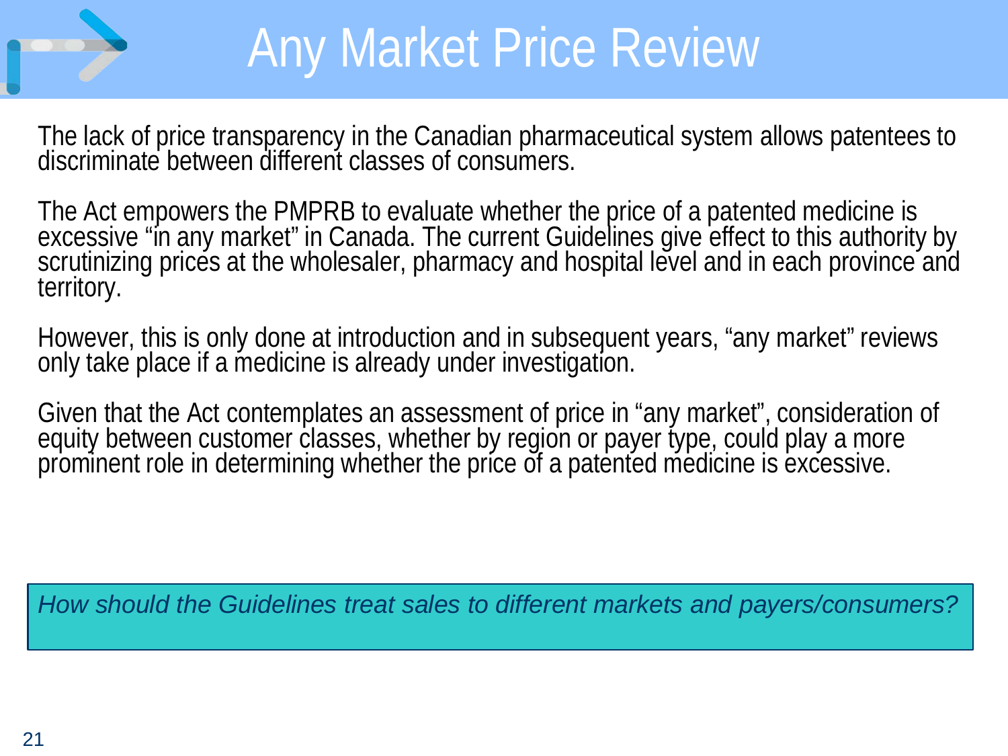### Any Market Price Review

The lack of price transparency in the Canadian pharmaceutical system allows patentees to discriminate between different classes of consumers.

The Act empowers the PMPRB to evaluate whether the price of a patented medicine is excessive "in any market" in Canada. The current Guidelines give effect to this authority by scrutinizing prices at the wholesaler, pharmac territory.

However, this is only done at introduction and in subsequent years, "any market" reviews only take place if a medicine is already under investigation.

Given that the Act contemplates an assessment of price in "any market", consideration of<br>equity between customer classes, whether by region or payer type, could play a more prominent role in determining whether the price of a patented medicine is excessive.

*How should the Guidelines treat sales to different markets and payers/consumers?*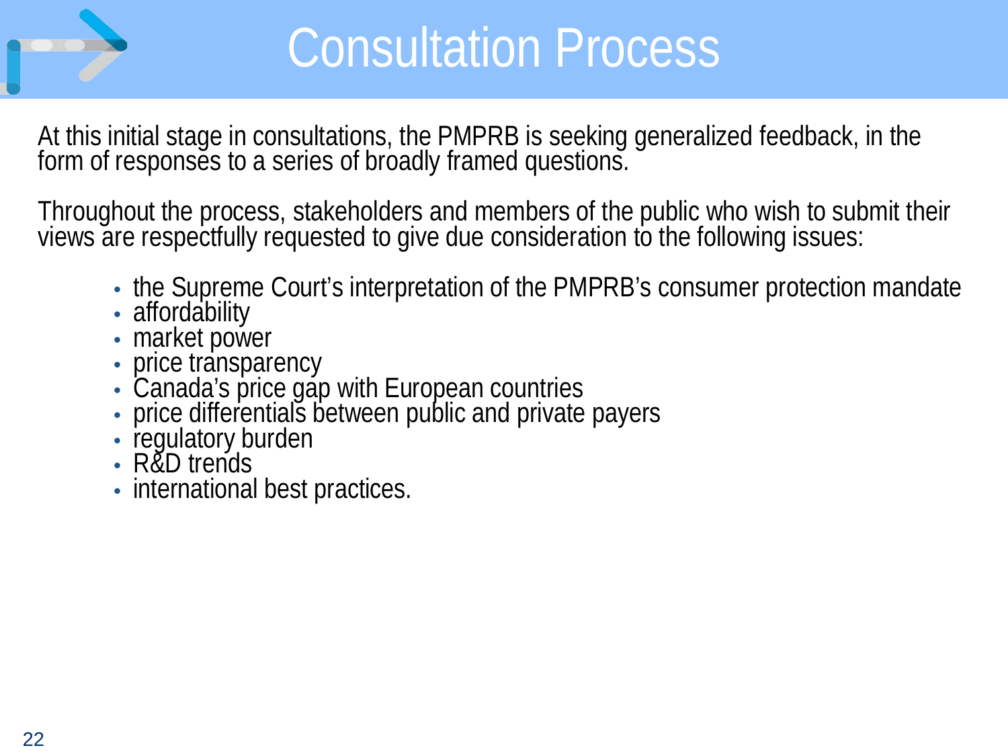

### Consultation Process

At this initial stage in consultations, the PMPRB is seeking generalized feedback, in the form of responses to a series of broadly framed questions.

Throughout the process, stakeholders and members of the public who wish to submit their views are respectfully requested to give due consideration to the following issues:

- the Supreme Court's interpretation of the PMPRB's consumer protection mandate
- affordability
- market power
- price transparency
- Canada's price gap with European countries
- price differentials between public and private payers
- regulatory burden
- R&D trends
- international best practices.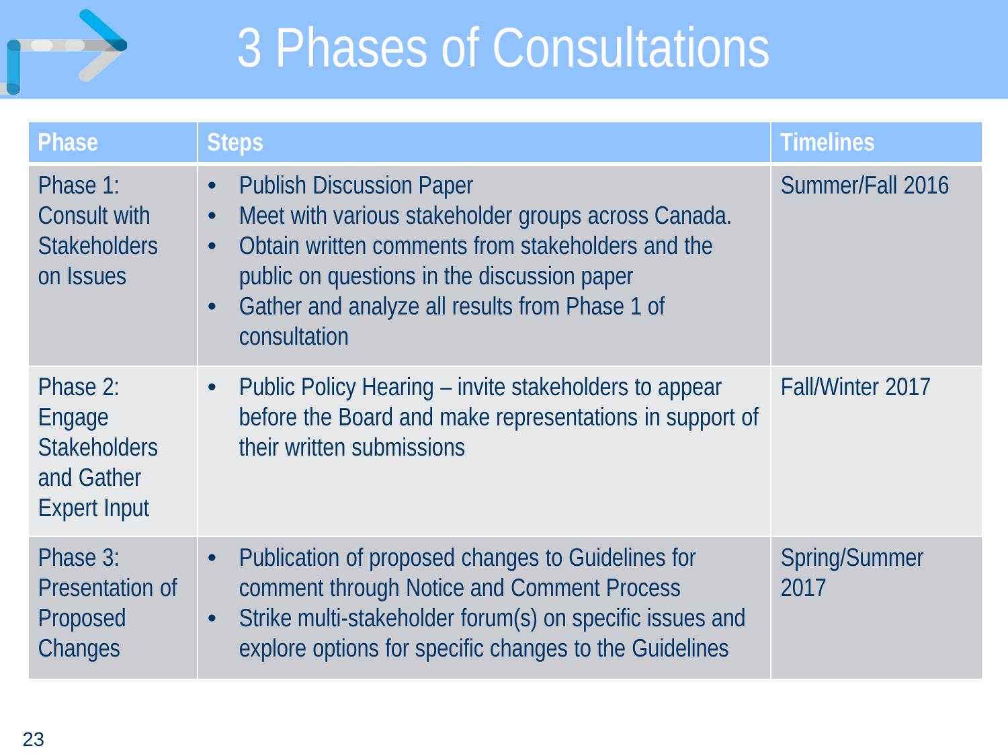

### 3 Phases of Consultations

| <b>Phase</b>                                                                   | <b>Steps</b>                                                                                                                                                                                                                                                                                                     | <b>Timelines</b>             |
|--------------------------------------------------------------------------------|------------------------------------------------------------------------------------------------------------------------------------------------------------------------------------------------------------------------------------------------------------------------------------------------------------------|------------------------------|
| Phase 1:<br>Consult with<br><b>Stakeholders</b><br>on Issues                   | <b>Publish Discussion Paper</b><br>$\bullet$<br>Meet with various stakeholder groups across Canada.<br>$\bullet$<br>Obtain written comments from stakeholders and the<br>$\bullet$<br>public on questions in the discussion paper<br>Gather and analyze all results from Phase 1 of<br>$\bullet$<br>consultation | Summer/Fall 2016             |
| Phase 2:<br>Engage<br><b>Stakeholders</b><br>and Gather<br><b>Expert Input</b> | Public Policy Hearing – invite stakeholders to appear<br>$\bullet$<br>before the Board and make representations in support of<br>their written submissions                                                                                                                                                       | <b>Fall/Winter 2017</b>      |
| Phase 3:<br>Presentation of<br>Proposed<br>Changes                             | Publication of proposed changes to Guidelines for<br>$\bullet$<br>comment through Notice and Comment Process<br>Strike multi-stakeholder forum(s) on specific issues and<br>$\bullet$<br>explore options for specific changes to the Guidelines                                                                  | <b>Spring/Summer</b><br>2017 |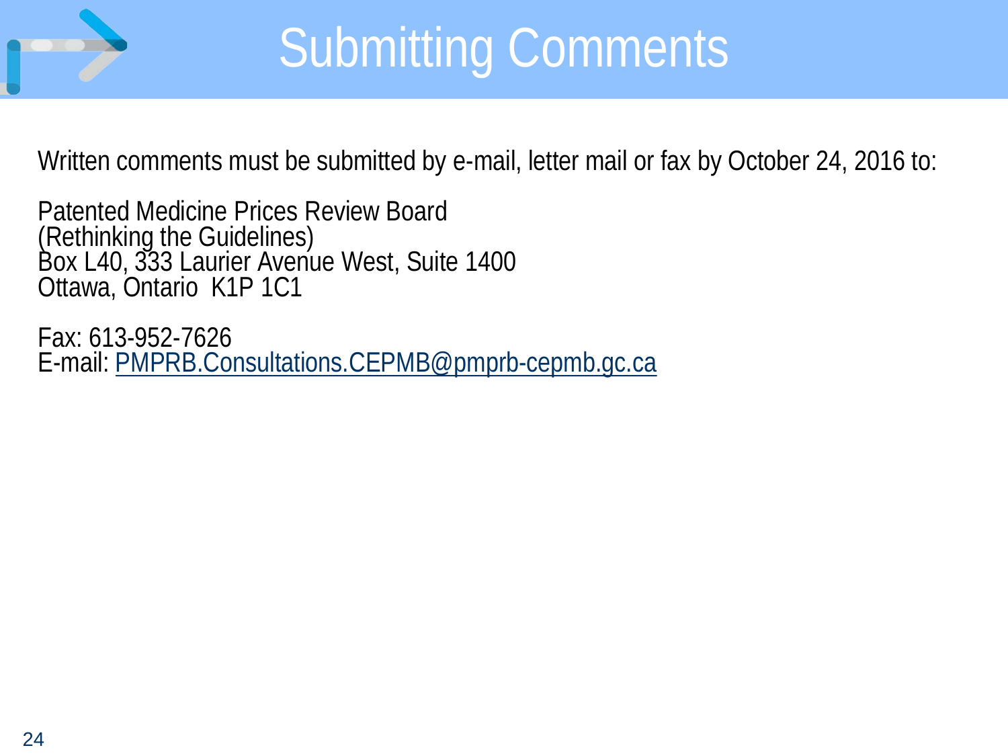

Written comments must be submitted by e-mail, letter mail or fax by October 24, 2016 to:

Patented Medicine Prices Review Board (Rethinking the Guidelines) Box L40, 333 Laurier Avenue West, Suite 1400 Ottawa, Ontario K1P 1C1

Fax: 613-952-7626 E-mail: [PMPRB.Consultations.CEPMB@pmprb-cepmb.gc.ca](mailto:PMPRB.Consultations.CEPMB@pmprb-cepmb.gc.ca)